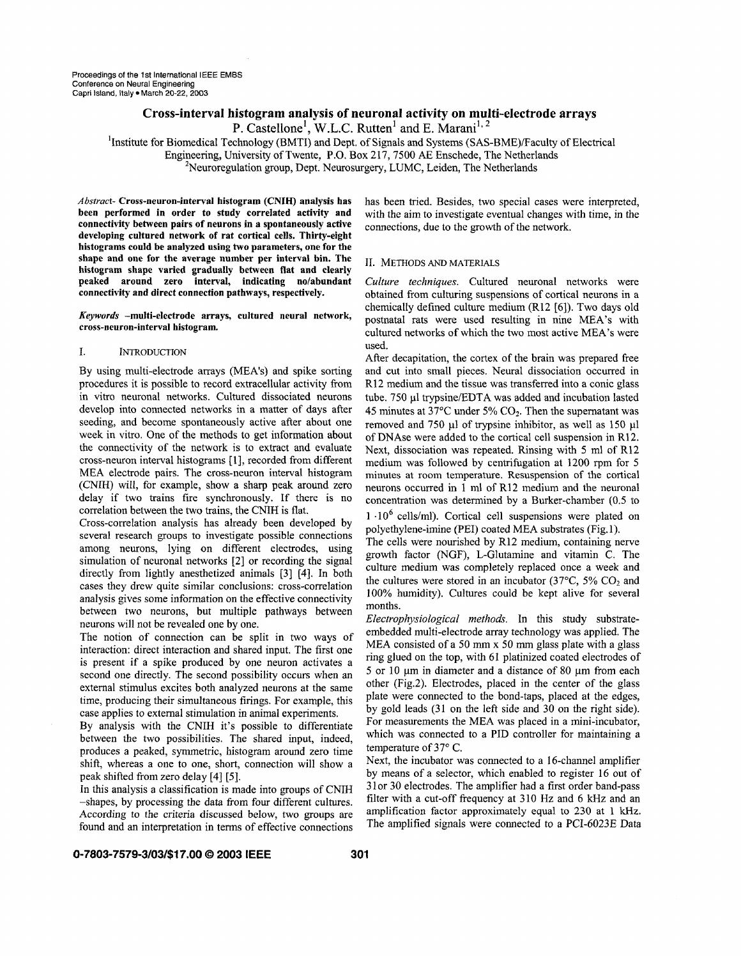# **Cross-interval histogram analysis of neuronal activity on multi-electrode arrays**

P. Castellone<sup>1</sup>, W.L.C. Rutten<sup>1</sup> and E. Marani<sup>1, 2</sup>

'Institute for Biomedical Technology (BMTI) and Dept. of Signals and Systems (SAS-BME)/Faculty of Electrical

Engineering, University of Twente, **P.O.** Box 217,7500 AE Enschede, The Netherlands

 $\mu^2$ Neuroregulation group, Dept. Neurosurgery, LUMC, Leiden, The Netherlands

*Abstract-* **Cross-neuron-interval histogram (CNIH) analysis has been performed in order to study correlated activity and connectivity between pairs of neurons in a spontaneously active developing cultured network of rat cortical cells. Thirty-eight histograms could be analyzed using two parameters, one for the shape and one for the average number per interval bin. The histogram shape vaned gradually between flat and clearly peaked around zero interval, indicating nolabundant connectivity and direct connection pathways, respectively.** 

*Keywords* **-multi-electrode arrays, cultured neural network, cross-neuron-interval histogram.** 

#### I. INTRODUCTION

By using multi-electrode arrays (MEA's) and spike sorting procedures it is possible to record extracellular activity from in vitro neuronal networks. Cultured dissociated neurons develop into connected networks in a matter of days after seeding, and become spontaneously active after about one week in vitro. One of the methods to get information about the connectivity of the network is to extract and evaluate cross-neuron interval histograms [ 11, recorded from different MEA electrode pairs. The cross-neuron interval histogram (CNIH) will, for example, show a sharp peak around zero delay if two trains fire synchronously. If there is no correlation between the two trains, the CNIH is flat.

Cross-correlation analysis has already been developed by several research groups to investigate possible connections among neurons, lying on different electrodes, using simulation of neuronal networks [2] or recording the signal directly from lightly anesthetized animals [3] [4]. In both cases they drew quite similar conclusions: cross-correlation analysis gives some information on the effective connectivity between two neurons, but multiple pathways between neurons will not be revealed one by one.

The notion of connection can be split in two ways of interaction: direct interaction and shared input. The first one is present if a spike produced by one neuron activates a second one directly. The second possibility occurs when an external stimulus excites both analyzed neurons at the same time, producing their simultaneous firings. For example, this case applies to external stimulation in animal experiments.

By analysis with the CNIH it's possible to differentiate between the two possibilities. The shared input, indeed, produces a peaked, symmetric, histogram around zero time shift, whereas a one to one, short, connection will show a peak shifted from zero delay [4] [5].

In this analysis a classification is made into groups of CNIH -shapes, by processing the data from four different cultures. According to the criteria discussed below, two groups are found and an interpretation in terms of effective connections

has been tried. Besides, two special cases were interpreted, with the aim to investigate eventual changes with time, in the connections, due to the growth of the network.

### 11. METHODS *AND* **MATERIALS**

*Culture techniques.* Cultured neuronal networks were obtained from culturing suspensions of cortical neurons in a chemically defined culture medium (R12 [SI). Two days old postnatal rats were used resulting in nine MEA's with cultured networks of which the two most active MEA's were used.

After decapitation, the cortex of the brain was prepared free and cut into small pieces. Neural dissociation occurred in R12 medium and the tissue was transferred into a conic glass tube. 750 µl trypsine/EDTA was added and incubation lasted 45 minutes at  $37^{\circ}$ C under 5% CO<sub>2</sub>. Then the supernatant was removed and 750 µl of trypsine inhibitor, as well as 150 µl of DNAse were added to the cortical cell suspension in R12. Next, dissociation was repeated. Rinsing with 5 ml of R12 medium was followed by centrihgation at 1200 rpm for 5 minutes at room temperature. Resuspension of the cortical neurons occurred in 1 ml of R12 medium and the neuronal concentration was determined by a Burker-chamber (0.5 to  $1 \cdot 10^6$  cells/ml). Cortical cell suspensions were plated on

polyethylene-imine (PET) coated **MEA** substrates (Fig. 1).

The cells were nourished by R12 medium, containing nerve growth factor (NGF), L-Glutamine and vitamin C. The culture medium was completely replaced once a week and the cultures were stored in an incubator (37 $\degree$ C, 5% CO<sub>2</sub> and 100% humidity). Cultures could be kept alive for several months.

*Electrophysiological methods.* In this study substrateembedded multi-electrode array technology was applied. The MEA consisted of a 50 mm x 50 mm glass plate with a glass ring glued on the top, with 61 platinized coated electrodes of 5 or 10 pm in diameter and a distance of 80 **pm** from each other (Fig.2). Electrodes, placed in the center of the glass plate were connected to the bond-taps, placed at the edges, by gold leads (31 on the left side and 30 on the right side). For measurements the MEA was placed in a mini-incubator, which was connected to a PID controller for maintaining a temperature of  $37^{\circ}$  C.

Next, the incubator was connected to a 16-channel amplifier by means of a selector, which enabled to register 16 out of 3 1 or 30 electrodes. The amplifier had a first order band-pass filter with a cut-off frequency at 310 Hz and 6 kHz and an amplification factor approximately equal to 230 at 1 kHz. The amplified signals were connected to a PCI-6023E Data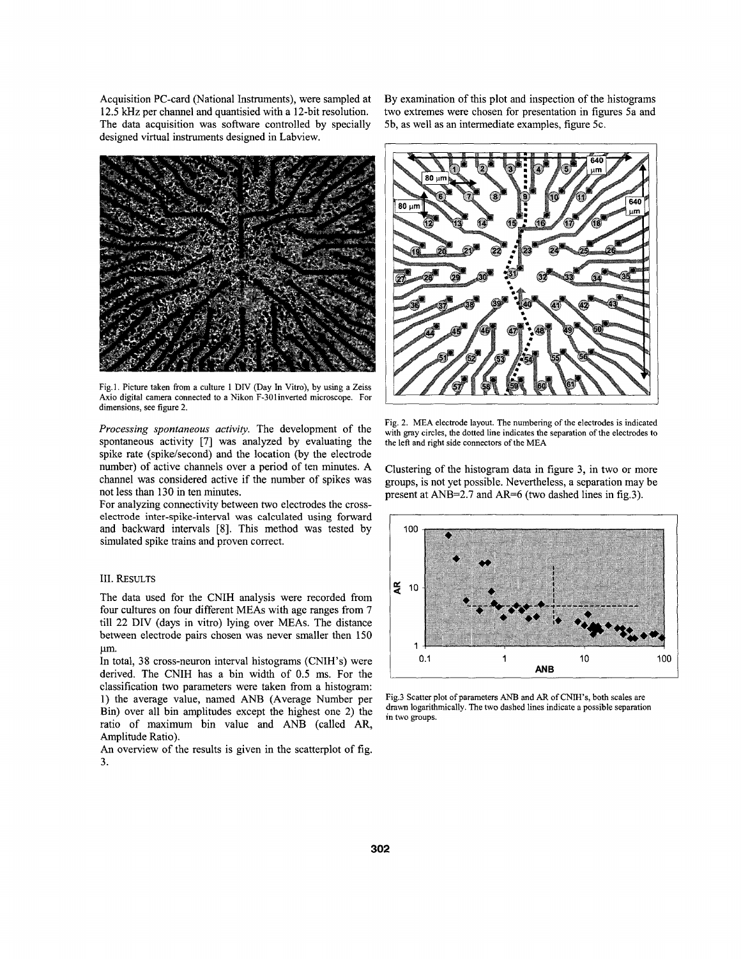Acquisition PC-card (National Instruments), were sampled at 12.5 **kHz** per channel and quantisied with a 12-bit resolution. The data acquisition was software controlled by specially designed virtual instruments designed in Labview.



Fig.1. Picture taken from a culture 1 DIV (Day In Vitro), by using a Zeiss Axio digital camera connected to a Nikon F-30linverted microscope. For dimensions, see **figure** 2.

Processing spontaneous activity. The development of the spontaneous activity [7] was analyzed by evaluating the spike rate (spike/second) and the location (by the electrode number) **of** active channels over a period of ten minutes. A channel was considered active if the number of spikes was not less than 130 in ten minutes.

For analyzing connectivity between two electrodes the crosselectrode inter-spike-interval was calculated using forward and backward intervals [SI. This method was tested by simulated spike trains and proven correct.

## 111. RESULTS

The data used for the CNIH analysis were recorded from four cultures on four different MEAs with age ranges from 7 till 22 DIV (days in vitro) lying over MEAs. The distance between electrode pairs chosen was never smaller then 150  $µm.$ 

In total, 38 cross-neuron interval histograms (CNIH's) were derived. The CNIH has a bin width of 0.5 ms. For the classification two parameters were taken from a histogram: 1) the average value, named ANB (Average Number per Bin) over all bin amplitudes except the highest one 2) the ratio of maximum bin value and ANB (called AR, Amplitude Ratio).

An overview of the results is given in the scatterplot of fig. **3.** 

By examination of this plot and inspection of the histograms two extremes were chosen for presentation in figures 5a and 5b, as well as an intermediate examples, figure 5c.



Fig. **2. MEA** electrode layout. **The** numbering of **the** electrodes is indicated with gray circles, **the** dotted line indicates the separation of the electrodes **to**  the **left** and right side connectors of the **MEA** 

Clustering of the histogram data in figure 3, in two or more groups, is not yet possible. Nevertheless, a separation may be present at ANB=2.7 and *AR=6* (two dashed lines in fig.3).



Fig.3 Scatter plot of parameters ANB and *AR* of CNIH's, both scales are drawn logarithmically. The two dashed lines indicate a possible separation in two groups.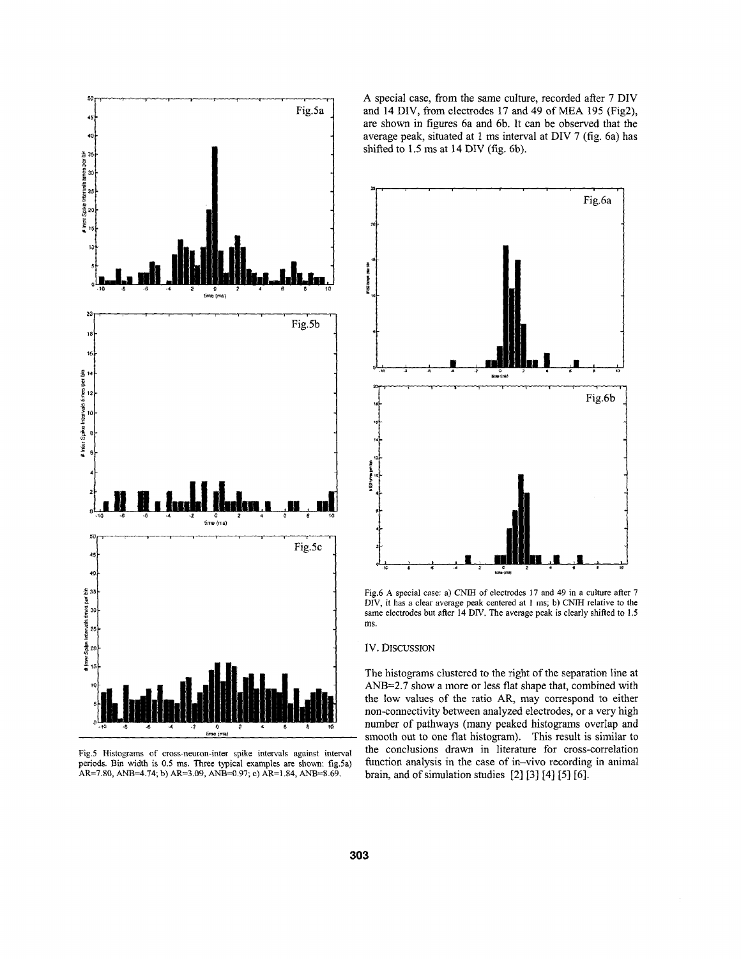

**Fig.5 Histograms** of **cross-neuron-inter spike intervals against interval periods. Bin width is 0.5 ms. Three typical examples are** shown: **fig.5a) AR=7.80, ANB=4.74; b)**  $AR=3.09$ **,**  $ANB=0.97$ **; c)**  $AR=1.84$ **,**  $ANB=8.69$ **.** 

**A** special case, from the same culture, recorded after 7 DIV and 14 DIV, from electrodes 17 and 49 of **MEA** 195 (Fig2), are shown in figures 6a and 6b. It can be observed that the average peak, situated at **1** ms interval at DIV 7 (fig. 6a) has shifted to 1.5 ms at 14 DIV (fig. 6b).



**Fig.6 A special case: a)** CNIH of **electrodes 17 and 49 in a culture after 7**  DIV, **it has a clear average peak centered at** *1* ms; b) **CNIH relative to the same electrodes but after 14 DIV. The average peak is clearly shifted to 1.5 ms.** 

## IV. DISCUSSION

The histograms clustered to the right of the separation line at ANB=2.7 show a more or less flat shape that, combined with the low values of the ratio **AR,** may correspond to either non-connectivity between analyzed electrodes, or a very high number of pathways (many peaked histograms overlap and smooth out to one flat histogram). This result is similar to the conclusions drawn in literature for cross-correlation function analysis in the case of in-vivo recording in animal brain, and of simulation studies [2] [3] [4] [5] [6].